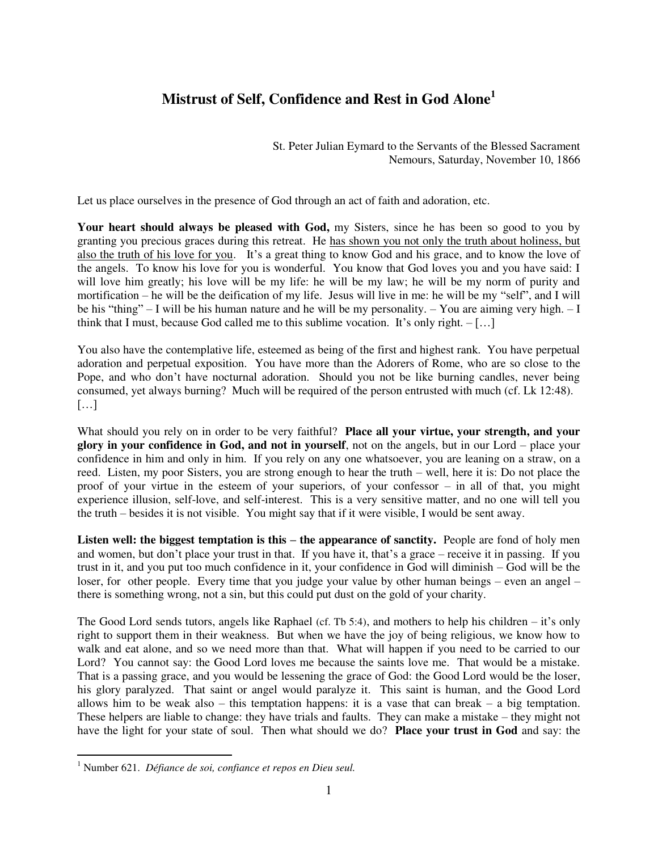## **Mistrust of Self, Confidence and Rest in God Alone<sup>1</sup>**

St. Peter Julian Eymard to the Servants of the Blessed Sacrament Nemours, Saturday, November 10, 1866

Let us place ourselves in the presence of God through an act of faith and adoration, etc.

**Your heart should always be pleased with God,** my Sisters, since he has been so good to you by granting you precious graces during this retreat. He has shown you not only the truth about holiness, but also the truth of his love for you. It's a great thing to know God and his grace, and to know the love of the angels. To know his love for you is wonderful. You know that God loves you and you have said: I will love him greatly; his love will be my life: he will be my law; he will be my norm of purity and mortification – he will be the deification of my life. Jesus will live in me: he will be my "self", and I will be his "thing" – I will be his human nature and he will be my personality. – You are aiming very high.  $-I$ think that I must, because God called me to this sublime vocation. It's only right.  $-[...]$ 

You also have the contemplative life, esteemed as being of the first and highest rank. You have perpetual adoration and perpetual exposition. You have more than the Adorers of Rome, who are so close to the Pope, and who don't have nocturnal adoration. Should you not be like burning candles, never being consumed, yet always burning? Much will be required of the person entrusted with much (cf. Lk 12:48).  $[\dots]$ 

What should you rely on in order to be very faithful? **Place all your virtue, your strength, and your glory in your confidence in God, and not in yourself**, not on the angels, but in our Lord – place your confidence in him and only in him. If you rely on any one whatsoever, you are leaning on a straw, on a reed. Listen, my poor Sisters, you are strong enough to hear the truth – well, here it is: Do not place the proof of your virtue in the esteem of your superiors, of your confessor – in all of that, you might experience illusion, self-love, and self-interest. This is a very sensitive matter, and no one will tell you the truth – besides it is not visible. You might say that if it were visible, I would be sent away.

**Listen well: the biggest temptation is this – the appearance of sanctity. People are fond of holy men** and women, but don't place your trust in that. If you have it, that's a grace – receive it in passing. If you trust in it, and you put too much confidence in it, your confidence in God will diminish – God will be the loser, for other people. Every time that you judge your value by other human beings – even an angel – there is something wrong, not a sin, but this could put dust on the gold of your charity.

The Good Lord sends tutors, angels like Raphael (cf. Tb 5:4), and mothers to help his children – it's only right to support them in their weakness. But when we have the joy of being religious, we know how to walk and eat alone, and so we need more than that. What will happen if you need to be carried to our Lord? You cannot say: the Good Lord loves me because the saints love me. That would be a mistake. That is a passing grace, and you would be lessening the grace of God: the Good Lord would be the loser, his glory paralyzed. That saint or angel would paralyze it. This saint is human, and the Good Lord allows him to be weak also – this temptation happens: it is a vase that can break – a big temptation. These helpers are liable to change: they have trials and faults. They can make a mistake – they might not have the light for your state of soul. Then what should we do? **Place your trust in God** and say: the

 $\overline{a}$ 

<sup>1</sup> Number 621. *Défiance de soi, confiance et repos en Dieu seul.*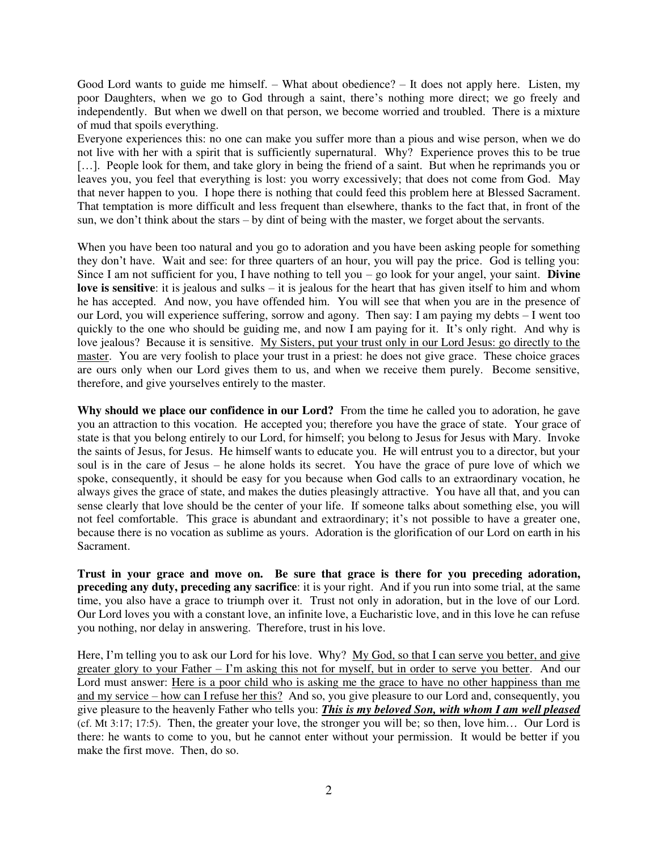Good Lord wants to guide me himself. – What about obedience? – It does not apply here. Listen, my poor Daughters, when we go to God through a saint, there's nothing more direct; we go freely and independently. But when we dwell on that person, we become worried and troubled. There is a mixture of mud that spoils everything.

Everyone experiences this: no one can make you suffer more than a pious and wise person, when we do not live with her with a spirit that is sufficiently supernatural. Why? Experience proves this to be true [...]. People look for them, and take glory in being the friend of a saint. But when he reprimands you or leaves you, you feel that everything is lost: you worry excessively; that does not come from God. May that never happen to you. I hope there is nothing that could feed this problem here at Blessed Sacrament. That temptation is more difficult and less frequent than elsewhere, thanks to the fact that, in front of the sun, we don't think about the stars – by dint of being with the master, we forget about the servants.

When you have been too natural and you go to adoration and you have been asking people for something they don't have. Wait and see: for three quarters of an hour, you will pay the price. God is telling you: Since I am not sufficient for you, I have nothing to tell you – go look for your angel, your saint. **Divine love is sensitive**: it is jealous and sulks – it is jealous for the heart that has given itself to him and whom he has accepted. And now, you have offended him. You will see that when you are in the presence of our Lord, you will experience suffering, sorrow and agony. Then say: I am paying my debts – I went too quickly to the one who should be guiding me, and now I am paying for it. It's only right. And why is love jealous? Because it is sensitive. My Sisters, put your trust only in our Lord Jesus: go directly to the master. You are very foolish to place your trust in a priest: he does not give grace. These choice graces are ours only when our Lord gives them to us, and when we receive them purely. Become sensitive, therefore, and give yourselves entirely to the master.

**Why should we place our confidence in our Lord?** From the time he called you to adoration, he gave you an attraction to this vocation. He accepted you; therefore you have the grace of state. Your grace of state is that you belong entirely to our Lord, for himself; you belong to Jesus for Jesus with Mary. Invoke the saints of Jesus, for Jesus. He himself wants to educate you. He will entrust you to a director, but your soul is in the care of Jesus – he alone holds its secret. You have the grace of pure love of which we spoke, consequently, it should be easy for you because when God calls to an extraordinary vocation, he always gives the grace of state, and makes the duties pleasingly attractive. You have all that, and you can sense clearly that love should be the center of your life. If someone talks about something else, you will not feel comfortable. This grace is abundant and extraordinary; it's not possible to have a greater one, because there is no vocation as sublime as yours. Adoration is the glorification of our Lord on earth in his Sacrament.

**Trust in your grace and move on. Be sure that grace is there for you preceding adoration, preceding any duty, preceding any sacrifice**: it is your right. And if you run into some trial, at the same time, you also have a grace to triumph over it. Trust not only in adoration, but in the love of our Lord. Our Lord loves you with a constant love, an infinite love, a Eucharistic love, and in this love he can refuse you nothing, nor delay in answering. Therefore, trust in his love.

Here, I'm telling you to ask our Lord for his love. Why? My God, so that I can serve you better, and give greater glory to your Father – I'm asking this not for myself, but in order to serve you better. And our Lord must answer: Here is a poor child who is asking me the grace to have no other happiness than me and my service – how can I refuse her this? And so, you give pleasure to our Lord and, consequently, you give pleasure to the heavenly Father who tells you: *This is my beloved Son, with whom I am well pleased*  (cf. Mt 3:17; 17:5). Then, the greater your love, the stronger you will be; so then, love him… Our Lord is there: he wants to come to you, but he cannot enter without your permission. It would be better if you make the first move. Then, do so.